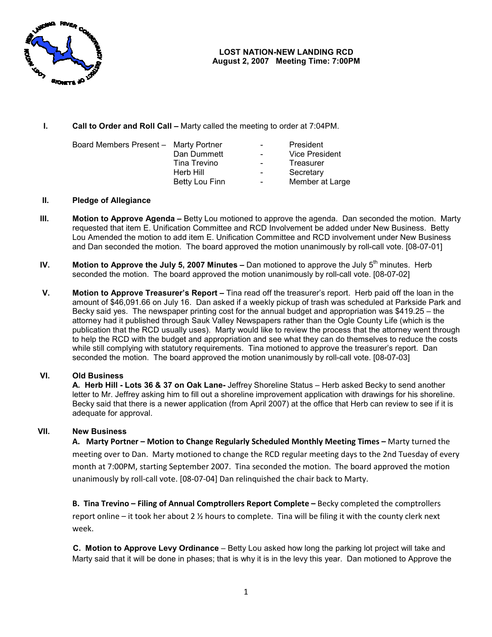

I. Call to Order and Roll Call – Marty called the meeting to order at 7:04PM.

| Board Members Present - Marty Portner |                | $\sim$ $-$       | President       |
|---------------------------------------|----------------|------------------|-----------------|
|                                       | Dan Dummett    | $\sim$           | Vice President  |
|                                       | Tina Trevino   | $\sim$ 100 $\mu$ | Treasurer       |
|                                       | Herb Hill      | $\sim$           | Secretary       |
|                                       | Betty Lou Finn | $\blacksquare$   | Member at Large |

## II. Pledge of Allegiance

- III. Motion to Approve Agenda Betty Lou motioned to approve the agenda. Dan seconded the motion. Marty requested that item E. Unification Committee and RCD Involvement be added under New Business. Betty Lou Amended the motion to add item E. Unification Committee and RCD involvement under New Business and Dan seconded the motion. The board approved the motion unanimously by roll-call vote. [08-07-01]
- IV. Motion to Approve the July 5, 2007 Minutes Dan motioned to approve the July  $5<sup>th</sup>$  minutes. Herb seconded the motion. The board approved the motion unanimously by roll-call vote. [08-07-02]
- V. Motion to Approve Treasurer's Report Tina read off the treasurer's report. Herb paid off the loan in the amount of \$46,091.66 on July 16. Dan asked if a weekly pickup of trash was scheduled at Parkside Park and Becky said yes. The newspaper printing cost for the annual budget and appropriation was \$419.25 – the attorney had it published through Sauk Valley Newspapers rather than the Ogle County Life (which is the Becky said yes. The newspaper printing cost for the annual budget and appropriation was \$419.25 – the<br>attorney had it published through Sauk Valley Newspapers rather than the Ogle County Life (which is the<br>publication tha to help the RCD with the budget and appropriation and see what they can do themselves to reduce the costs while still complying with statutory requirements. Tina motioned to approve the treasurer's report. Dan seconded the motion. The board approved the motion unanimously by roll-call vote. [08 w the process that the attorney<br>they can do themselves to redu<br>to approve the treasurer's repor<br>usly by roll-call vote. [08-07-03]

## VI. Old Business

A. Herb Hill - Lots 36 & 37 on Oak Lane- Jeffrey Shoreline Status – Herb asked Becky to send another letter to Mr. Jeffrey asking him to fill out a shoreline improvement application with drawings for his shoreline. Becky said that there is a newer application (from April 2007) at the office that Herb can review to see if it is adequate for approval.

## VII. New Business

A. Marty Portner - Motion to Change Regularly Scheduled Monthly Meeting Times - Marty turned the meeting over to Dan. Marty motioned to change the RCD regular meeting days to the 2 2nd Tuesday of every meeting over to Dan. Marty motioned to change the RCD regular meeting days to the 2nd Tuesday of eve<br>month at 7:00PM, starting September 2007. Tina seconded the motion. The board approved the motion unanimously by roll-call vote. [08-07-04] Dan relinquished the chair back to Marty.

B. Tina Trevino - Filing of Annual Comptrollers Report Complete - Becky completed the comptrollers report online - it took her about 2 % hours to complete. Tina will be filing it with the county clerk next week.

**C. Motion to Approve Levy Ordinance** – Betty Lou asked how long the parking lot project will take and Marty said that it will be done in phases; that is why it is in the levy this year. Dan motioned to Approve the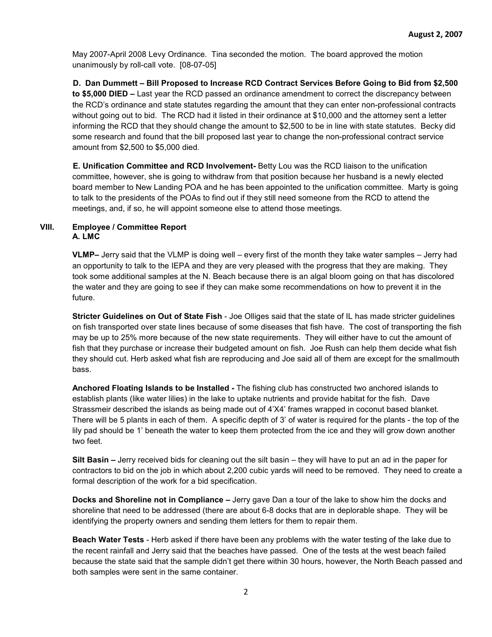May 2007-April 2008 Levy Ordinance. Tina seconded the motion. The board approved the motion unanimously by roll-call vote. [08-07-05]

D. Dan Dummett – Bill Proposed to Increase RCD Contract Services Before Going to Bid from \$2,500 to \$5,000 DIED – Last year the RCD passed an ordinance amendment to correct the discrepancy between the RCD's ordinance and state statutes regarding the amount that they can enter non-professional contracts without going out to bid. The RCD had it listed in their ordinance at \$10,000 and the attorney sent a letter informing the RCD that they should change the amount to \$2,500 to be in line with state statutes. Becky did some research and found that the bill proposed last year to change the non-professional contract service amount from \$2,500 to \$5,000 died.

E. Unification Committee and RCD Involvement- Betty Lou was the RCD liaison to the unification committee, however, she is going to withdraw from that position because her husband is a newly elected board member to New Landing POA and he has been appointed to the unification committee. Marty is going to talk to the presidents of the POAs to find out if they still need someone from the RCD to attend the meetings, and, if so, he will appoint someone else to attend those meetings.

### VIII. Employee / Committee Report A. LMC

VLMP– Jerry said that the VLMP is doing well – every first of the month they take water samples – Jerry had an opportunity to talk to the IEPA and they are very pleased with the progress that they are making. They took some additional samples at the N. Beach because there is an algal bloom going on that has discolored the water and they are going to see if they can make some recommendations on how to prevent it in the future.

Stricter Guidelines on Out of State Fish - Joe Olliges said that the state of IL has made stricter guidelines on fish transported over state lines because of some diseases that fish have. The cost of transporting the fish may be up to 25% more because of the new state requirements. They will either have to cut the amount of fish that they purchase or increase their budgeted amount on fish. Joe Rush can help them decide what fish they should cut. Herb asked what fish are reproducing and Joe said all of them are except for the smallmouth bass.

Anchored Floating Islands to be Installed - The fishing club has constructed two anchored islands to establish plants (like water lilies) in the lake to uptake nutrients and provide habitat for the fish. Dave Strassmeir described the islands as being made out of 4'X4' frames wrapped in coconut based blanket. There will be 5 plants in each of them. A specific depth of 3' of water is required for the plants - the top of the lily pad should be 1' beneath the water to keep them protected from the ice and they will grow down another two feet.

Silt Basin – Jerry received bids for cleaning out the silt basin – they will have to put an ad in the paper for contractors to bid on the job in which about 2,200 cubic yards will need to be removed. They need to create a formal description of the work for a bid specification.

Docks and Shoreline not in Compliance – Jerry gave Dan a tour of the lake to show him the docks and shoreline that need to be addressed (there are about 6-8 docks that are in deplorable shape. They will be identifying the property owners and sending them letters for them to repair them.

Beach Water Tests - Herb asked if there have been any problems with the water testing of the lake due to the recent rainfall and Jerry said that the beaches have passed. One of the tests at the west beach failed because the state said that the sample didn't get there within 30 hours, however, the North Beach passed and both samples were sent in the same container.